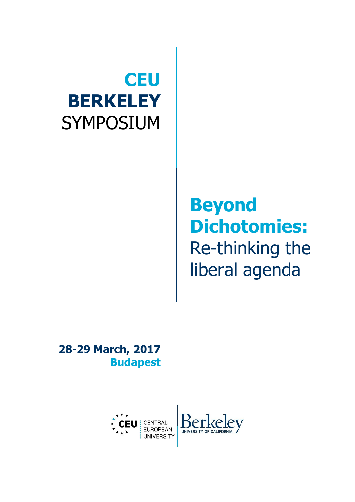# **CEU BERKELEY** SYMPOSIUM

## **Beyond Dichotomies:** Re-thinking the liberal agenda

 $|ev|$ 

**28-29 March, 2017 Budapest**

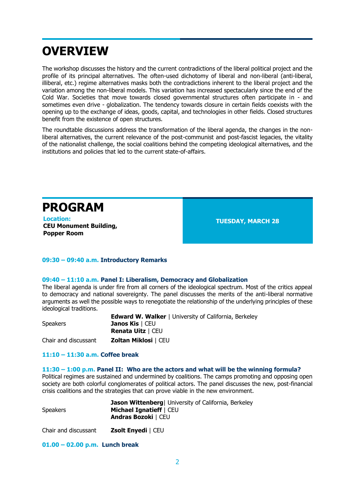### **OVERVIEW**

The workshop discusses the history and the current contradictions of the liberal political project and the profile of its principal alternatives. The often-used dichotomy of liberal and non-liberal (anti-liberal, illiberal, etc.) regime alternatives masks both the contradictions inherent to the liberal project and the variation among the non-liberal models. This variation has increased spectacularly since the end of the Cold War. Societies that move towards closed governmental structures often participate in - and sometimes even drive - globalization. The tendency towards closure in certain fields coexists with the opening up to the exchange of ideas, goods, capital, and technologies in other fields. Closed structures benefit from the existence of open structures.

The roundtable discussions address the transformation of the liberal agenda, the changes in the nonliberal alternatives, the current relevance of the post-communist and post-fascist legacies, the vitality of the nationalist challenge, the social coalitions behind the competing ideological alternatives, and the institutions and policies that led to the current state-of-affairs.

**PROGRAM TUESDAY, MARCH 28 CEU Monument Building, Popper Room** 

#### **09:30 – 09:40 a.m. Introductory Remarks**

#### **09:40 – 11:10 a.m. Panel I: Liberalism, Democracy and Globalization**

The liberal agenda is under fire from all corners of the ideological spectrum. Most of the critics appeal to democracy and national sovereignty. The panel discusses the merits of the anti-liberal normative arguments as well the possible ways to renegotiate the relationship of the underlying principles of these ideological traditions.

|                      | <b>Edward W. Walker</b>   University of California, Berkeley |
|----------------------|--------------------------------------------------------------|
| <b>Speakers</b>      | <b>Janos Kis</b>   CEU                                       |
|                      | <b>Renata Uitz</b>   CEU                                     |
| Chair and discussant | <b>Zoltan Miklosi   CEU</b>                                  |

#### **11:10 – 11:30 a.m. Coffee break**

#### **11:30 – 1:00 p.m. Panel II: Who are the actors and what will be the winning formula?**

Political regimes are sustained and undermined by coalitions. The camps promoting and opposing open society are both colorful conglomerates of political actors. The panel discusses the new, post-financial crisis coalitions and the strategies that can prove viable in the new environment.

|                 | <b>Jason Wittenberg</b>   University of California, Berkeley |
|-----------------|--------------------------------------------------------------|
| <b>Speakers</b> | <b>Michael Ignatieff</b>   CEU                               |
|                 | <b>Andras Bozoki   CEU</b>                                   |
|                 |                                                              |

Chair and discussant **Zsolt Enyedi** | CEU

**01.00 – 02.00 p.m. Lunch break**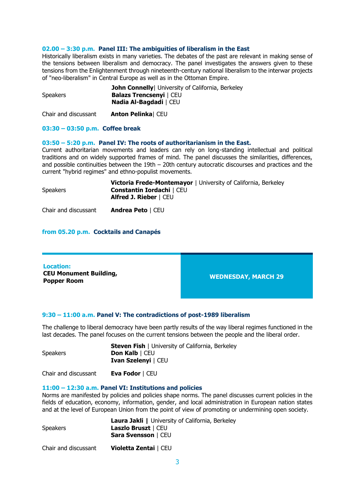#### **02.00 – 3:30 p.m. Panel III: The ambiguities of liberalism in the East**

Historically liberalism exists in many varieties. The debates of the past are relevant in making sense of the tensions between liberalism and democracy. The panel investigates the answers given to these tensions from the Enlightenment through nineteenth-century national liberalism to the interwar projects of "neo-liberalism" in Central Europe as well as in the Ottoman Empire.

|                 | <b>John Connelly</b> University of California, Berkeley |
|-----------------|---------------------------------------------------------|
| <b>Speakers</b> | <b>Balazs Trencsenyi</b>   CEU                          |
|                 | Nadia Al-Bagdadi   CEU                                  |

Chair and discussant **Anton Pelinka**| CEU

#### **03:30 – 03:50 p.m. Coffee break**

#### **03:50 – 5:20 p.m. Panel IV: The roots of authoritarianism in the East.**

Current authoritarian movements and leaders can rely on long-standing intellectual and political traditions and on widely supported frames of mind. The panel discusses the similarities, differences, and possible continuities between the 19th – 20th century autocratic discourses and practices and the current "hybrid regimes" and ethno-populist movements.

|          | <b>Victoria Frede-Montemayor   University of California, Berkeley</b> |
|----------|-----------------------------------------------------------------------|
| Speakers | <b>Constantin Iordachi   CEU</b>                                      |
|          | Alfred J. Rieber   CEU                                                |
|          |                                                                       |

Chair and discussant **Andrea Peto** | CEU

#### **from 05.20 p.m. Cocktails and Canapés**

| <b>Location:</b><br><b>CEU Monument Building,</b><br><b>WEDNESDAY, MARCH 29</b><br><b>Popper Room</b> |
|-------------------------------------------------------------------------------------------------------|
|-------------------------------------------------------------------------------------------------------|

#### **9:30 – 11:00 a.m. Panel V: The contradictions of post-1989 liberalism**

The challenge to liberal democracy have been partly results of the way liberal regimes functioned in the last decades. The panel focuses on the current tensions between the people and the liberal order.

|                 | <b>Steven Fish</b>   University of California, Berkeley |
|-----------------|---------------------------------------------------------|
| <b>Speakers</b> | <b>Don Kalb   CEU</b>                                   |
|                 | <b>Ivan Szelenyi   CEU</b>                              |

Chair and discussant **Eva Fodor** | CEU

#### **11:00 – 12:30 a.m. Panel VI: Institutions and policies**

Norms are manifested by policies and policies shape norms. The panel discusses current policies in the fields of education, economy, information, gender, and local administration in European nation states and at the level of European Union from the point of view of promoting or undermining open society.

|                      | Laura Jakli   University of California, Berkeley |
|----------------------|--------------------------------------------------|
| <b>Speakers</b>      | <b>Laszlo Bruszt</b>   CEU                       |
|                      | Sara Svensson   CEU                              |
| Chair and discussant | <b>Violetta Zentai   CEU</b>                     |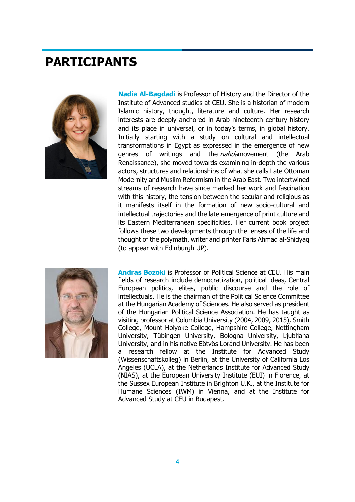### **PARTICIPANTS**



**Nadia Al-Bagdadi** is Professor of History and the Director of the Institute of Advanced studies at CEU. She is a historian of modern Islamic history, thought, literature and culture. Her research interests are deeply anchored in Arab nineteenth century history and its place in universal, or in today's terms, in global history. Initially starting with a study on cultural and intellectual transformations in Egypt as expressed in the emergence of new genres of writings and the *nahda*movement (the Arab Renaissance), she moved towards examining in-depth the various actors, structures and relationships of what she calls Late Ottoman Modernity and Muslim Reformism in the Arab East. Two intertwined streams of research have since marked her work and fascination with this history, the tension between the secular and religious as it manifests itself in the formation of new socio-cultural and intellectual trajectories and the late emergence of print culture and its Eastern Mediterranean specificities. Her current book project follows these two developments through the lenses of the life and thought of the polymath, writer and printer Faris Ahmad al-Shidyaq (to appear with Edinburgh UP).



**Andras Bozoki** is Professor of Political Science at CEU. His main fields of research include democratization, political ideas, Central European politics, elites, public discourse and the role of intellectuals. He is the chairman of the Political Science Committee at the Hungarian Academy of Sciences. He also served as president of the Hungarian Political Science Association. He has taught as visiting professor at Columbia University (2004, 2009, 2015), Smith College, Mount Holyoke College, Hampshire College, Nottingham University, Tübingen University, Bologna University, Ljubljana University, and in his native Eötvös Loránd University. He has been a research fellow at the Institute for Advanced Study (Wissenschaftskolleg) in Berlin, at the University of California Los Angeles (UCLA), at the Netherlands Institute for Advanced Study (NIAS), at the European University Institute (EUI) in Florence, at the Sussex European Institute in Brighton U.K., at the Institute for Humane Sciences (IWM) in Vienna, and at the Institute for Advanced Study at CEU in Budapest.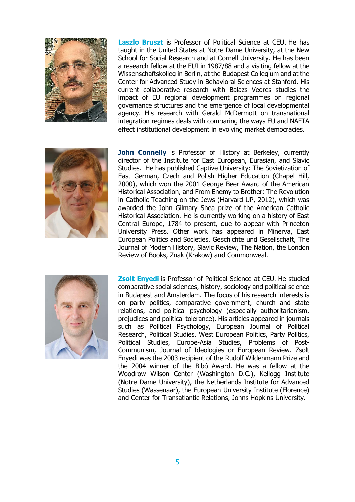

**Laszlo Bruszt** is Professor of Political Science at CEU. He has taught in the United States at Notre Dame University, at the New School for Social Research and at Cornell University. He has been a research fellow at the EUI in 1987/88 and a visiting fellow at the Wissenschaftskolleg in Berlin, at the Budapest Collegium and at the Center for Advanced Study in Behavioral Sciences at Stanford. His current collaborative research with Balazs Vedres studies the impact of EU regional development programmes on regional governance structures and the emergence of local developmental agency. His research with Gerald McDermott on transnational integration regimes deals with comparing the ways EU and NAFTA effect institutional development in evolving market democracies.



John Connelly is Professor of History at Berkeley, currently director of the Institute for East European, Eurasian, and Slavic Studies. He has published Captive University: The Sovietization of East German, Czech and Polish Higher Education (Chapel Hill, 2000), which won the 2001 George Beer Award of the American Historical Association, and From Enemy to Brother: The Revolution in Catholic Teaching on the Jews (Harvard UP, 2012), which was awarded the John Gilmary Shea prize of the American Catholic Historical Association. He is currently working on a history of East Central Europe, 1784 to present, due to appear with Princeton University Press. Other work has appeared in Minerva, East European Politics and Societies, Geschichte und Gesellschaft, The Journal of Modern History, Slavic Review, The Nation, the London Review of Books, Znak (Krakow) and Commonweal.



**Zsolt Enyedi** is Professor of Political Science at CEU. He studied comparative social sciences, history, sociology and political science in Budapest and Amsterdam. The focus of his research interests is on party politics, comparative government, church and state relations, and political psychology (especially authoritarianism, prejudices and political tolerance). His articles appeared in journals such as Political Psychology, European Journal of Political Research, Political Studies, West European Politics, Party Politics, Political Studies, Europe-Asia Studies, Problems of Post-Communism, Journal of Ideologies or European Review. Zsolt Enyedi was the 2003 recipient of the Rudolf Wildenmann Prize and the 2004 winner of the Bibó Award. He was a fellow at the Woodrow Wilson Center (Washington D.C.), Kellogg Institute (Notre Dame University), the Netherlands Institute for Advanced Studies (Wassenaar), the European University Institute (Florence) and Center for Transatlantic Relations, Johns Hopkins University.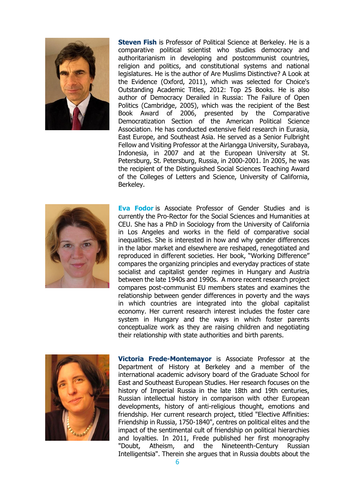

**Steven Fish** is Professor of Political Science at Berkeley. He is a comparative political scientist who studies democracy and authoritarianism in developing and postcommunist countries, religion and politics, and constitutional systems and national legislatures. He is the author of Are Muslims Distinctive? A Look at the Evidence (Oxford, 2011), which was selected for Choice's Outstanding Academic Titles, 2012: Top 25 Books. He is also author of Democracy Derailed in Russia: The Failure of Open Politics (Cambridge, 2005), which was the recipient of the Best Book Award of 2006, presented by the Comparative Democratization Section of the American Political Science Association. He has conducted extensive field research in Eurasia, East Europe, and Southeast Asia. He served as a Senior Fulbright Fellow and Visiting Professor at the Airlangga University, Surabaya, Indonesia, in 2007 and at the European University at St. Petersburg, St. Petersburg, Russia, in 2000-2001. In 2005, he was the recipient of the Distinguished Social Sciences Teaching Award of the Colleges of Letters and Science, University of California, Berkeley.



**Eva Fodor** is Associate Professor of Gender Studies and is currently the Pro-Rector for the Social Sciences and Humanities at CEU. She has a PhD in Sociology from the University of California in Los Angeles and works in the field of comparative social inequalities. She is interested in how and why gender differences in the labor market and elsewhere are reshaped, renegotiated and reproduced in different societies. Her book, "Working Difference" compares the organizing principles and everyday practices of state socialist and capitalist gender regimes in Hungary and Austria between the late 1940s and 1990s. A more recent research project compares post-communist EU members states and examines the relationship between gender differences in poverty and the ways in which countries are integrated into the global capitalist economy. Her current research interest includes the foster care system in Hungary and the ways in which foster parents conceptualize work as they are raising children and negotiating their relationship with state authorities and birth parents.



**Victoria Frede-Montemayor** is Associate Professor at the Department of History at Berkeley and a member of the international academic advisory board of the Graduate School for East and Southeast European Studies. Her research focuses on the history of Imperial Russia in the late 18th and 19th centuries, Russian intellectual history in comparison with other European developments, history of anti-religious thought, emotions and friendship. Her current research project, titled "Elective Affinities: Friendship in Russia, 1750-1840", centres on political elites and the impact of the sentimental cult of friendship on political hierarchies and loyalties. In 2011, Frede published her first monography "Doubt, Atheism, and the Nineteenth-Century Russian Intelligentsia". Therein she argues that in Russia doubts about the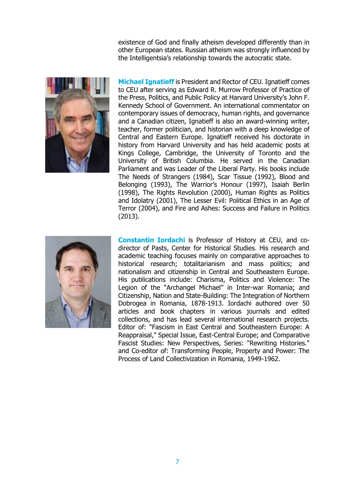existence of God and finally atheism developed differently than in other European states. Russian atheism was strongly influenced by the Intelligentsia's relationship towards the autocratic state.



**Michael Ignatieff** is President and Rector of CEU. Ignatieff comes to CEU after serving as Edward R. Murrow Professor of Practice of the Press, Politics, and Public Policy at Harvard University's John F. Kennedy School of Government. An international commentator on contemporary issues of democracy, human rights, and governance and a Canadian citizen, Ignatieff is also an award-winning writer, teacher, former politician, and historian with a deep knowledge of Central and Eastern Europe. Ignatieff received his doctorate in history from Harvard University and has held academic posts at Kings College, Cambridge, the University of Toronto and the University of British Columbia. He served in the Canadian Parliament and was Leader of the Liberal Party. His books include The Needs of Strangers (1984), Scar Tissue (1992), Blood and Belonging (1993), The Warrior's Honour (1997), Isaiah Berlin (1998), The Rights Revolution (2000), Human Rights as Politics and Idolatry (2001), The Lesser Evil: Political Ethics in an Age of Terror (2004), and Fire and Ashes: Success and Failure in Politics (2013).



**Constantin Iordachi** is Professor of History at CEU, and codirector of Pasts, Center for Historical Studies. His research and academic teaching focuses mainly on comparative approaches to historical research; totalitarianism and mass politics; and nationalism and citizenship in Central and Southeastern Europe. His publications include: Charisma, Politics and Violence: The Legion of the "Archangel Michael" in Inter-war Romania; and Citizenship, Nation and State-Building: The Integration of Northern Dobrogea in Romania, 1878-1913. Iordachi authored over 50 articles and book chapters in various journals and edited collections, and has lead several international research projects. Editor of: "Fascism in East Central and Southeastern Europe: A Reappraisal," Special Issue, East-Central Europe; and Comparative Fascist Studies: New Perspectives, Series: "Rewriting Histories." and Co-editor of: Transforming People, Property and Power: The Process of Land Collectivization in Romania, 1949-1962.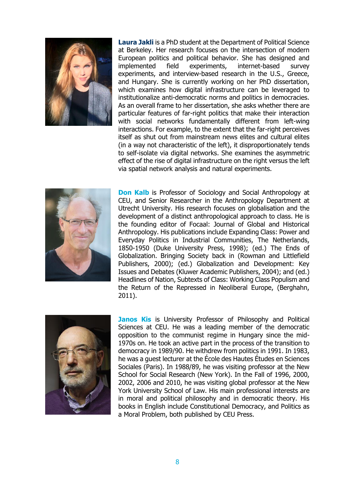

**Laura Jakli** is a PhD student at the Department of Political Science at Berkeley. Her research focuses on the intersection of modern European politics and political behavior. She has designed and implemented field experiments, internet-based survey experiments, and interview-based research in the U.S., Greece, and Hungary. She is currently working on her PhD dissertation, which examines how digital infrastructure can be leveraged to institutionalize anti-democratic norms and politics in democracies. As an overall frame to her dissertation, she asks whether there are particular features of far-right politics that make their interaction with social networks fundamentally different from left-wing interactions. For example, to the extent that the far-right perceives itself as shut out from mainstream news elites and cultural elites (in a way not characteristic of the left), it disproportionately tends to self-isolate via digital networks. She examines the asymmetric effect of the rise of digital infrastructure on the right versus the left via spatial network analysis and natural experiments.



**Don Kalb** is Professor of Sociology and Social Anthropology at CEU, and Senior Researcher in the Anthropology Department at Utrecht University. His research focuses on globalisation and the development of a distinct anthropological approach to class. He is the founding editor of Focaal: Journal of Global and Historical Anthropology. His publications include Expanding Class: Power and Everyday Politics in Industrial Communities, The Netherlands, 1850-1950 (Duke University Press, 1998); (ed.) The Ends of Globalization. Bringing Society back in (Rowman and Littlefield Publishers, 2000); (ed.) Globalization and Development: Key Issues and Debates (Kluwer Academic Publishers, 2004); and (ed.) Headlines of Nation, Subtexts of Class: Working Class Populism and the Return of the Repressed in Neoliberal Europe, (Berghahn, 2011).



**Janos Kis** is University Professor of Philosophy and Political Sciences at CEU. He was a leading member of the democratic opposition to the communist regime in Hungary since the mid-1970s on. He took an active part in the process of the transition to democracy in 1989/90. He withdrew from politics in 1991. In 1983, he was a guest lecturer at the École des Hautes Études en Sciences Sociales (Paris). In 1988/89, he was visiting professor at the New School for Social Research (New York). In the Fall of 1996, 2000, 2002, 2006 and 2010, he was visiting global professor at the New York University School of Law. His main professional interests are in moral and political philosophy and in democratic theory. His books in English include Constitutional Democracy, and Politics as a Moral Problem, both published by CEU Press.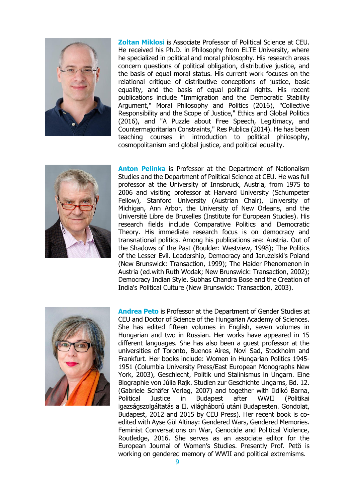

**Zoltan Miklosi** is Associate Professor of Political Science at CEU. He received his Ph.D. in Philosophy from ELTE University, where he specialized in political and moral philosophy. His research areas concern questions of political obligation, distributive justice, and the basis of equal moral status. His current work focuses on the relational critique of distributive conceptions of justice, basic equality, and the basis of equal political rights. His recent publications include "Immigration and the Democratic Stability Argument," Moral Philosophy and Politics (2016), "Collective Responsibility and the Scope of Justice," Ethics and Global Politics (2016), and "A Puzzle about Free Speech, Legitimacy, and Countermajoritarian Constraints," Res Publica (2014). He has been teaching courses in introduction to political philosophy, cosmopolitanism and global justice, and political equality.



**Anton Pelinka** is Professor at the Department of Nationalism Studies and the Department of Political Science at CEU. He was full professor at the University of Innsbruck, Austria, from 1975 to 2006 and visiting professor at Harvard University (Schumpeter Fellow), Stanford University (Austrian Chair), University of Michigan, Ann Arbor, the University of New Orleans, and the Université Libre de Bruxelles (Institute for European Studies). His research fields include Comparative Politics and Democratic Theory. His immediate research focus is on democracy and transnational politics. Among his publications are: Austria. Out of the Shadows of the Past (Boulder: Westview, 1998); The Politics of the Lesser Evil. Leadership, Democracy and Jaruzelski's Poland (New Brunswick: Transaction, 1999); The Haider Phenomenon in Austria (ed.with Ruth Wodak; New Brunswick: Transaction, 2002); Democracy Indian Style. Subhas Chandra Bose and the Creation of India's Political Culture (New Brunswick: Transaction, 2003).



**Andrea Peto** is Professor at the Department of Gender Studies at CEU and Doctor of Science of the Hungarian Academy of Sciences. She has edited fifteen volumes in English, seven volumes in Hungarian and two in Russian. Her works have appeared in 15 different languages. She has also been a guest professor at the universities of Toronto, Buenos Aires, Novi Sad, Stockholm and Frankfurt. Her books include: Women in Hungarian Politics 1945- 1951 (Columbia University Press/East European Monographs New York, 2003), Geschlecht, Politik und Stalinismus in Ungarn. Eine Biographie von Júlia Rajk. Studien zur Geschichte Ungarns, Bd. 12. (Gabriele Schäfer Verlag, 2007) and together with Ildikó Barna, Political Justice in Budapest after WWII (Politikai igazságszolgáltatás a II. világháború utáni Budapesten. Gondolat, Budapest, 2012 and 2015 by CEU Press). Her recent book is coedited with Ayse Gül Altinay: Gendered Wars, Gendered Memories. Feminist Conversations on War, Genocide and Political Violence, Routledge, 2016. She serves as an associate editor for the European Journal of Women's Studies. Presently Prof. Petö is working on gendered memory of WWII and political extremisms.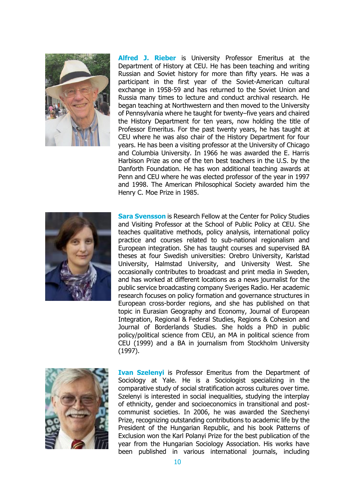

**Alfred J. Rieber** is University Professor Emeritus at the Department of History at CEU. He has been teaching and writing Russian and Soviet history for more than fifty years. He was a participant in the first year of the Soviet-American cultural exchange in 1958-59 and has returned to the Soviet Union and Russia many times to lecture and conduct archival research. He began teaching at Northwestern and then moved to the University of Pennsylvania where he taught for twenty–five years and chaired the History Department for ten years, now holding the title of Professor Emeritus. For the past twenty years, he has taught at CEU where he was also chair of the History Department for four years. He has been a visiting professor at the University of Chicago and Columbia University. In 1966 he was awarded the E. Harris Harbison Prize as one of the ten best teachers in the U.S. by the Danforth Foundation. He has won additional teaching awards at Penn and CEU where he was elected professor of the year in 1997 and 1998. The American Philosophical Society awarded him the Henry C. Moe Prize in 1985.



**Sara Svensson** is Research Fellow at the Center for Policy Studies and Visiting Professor at the School of Public Policy at CEU. She teaches qualitative methods, policy analysis, international policy practice and courses related to sub-national regionalism and European integration. She has taught courses and supervised BA theses at four Swedish universities: Orebro University, Karlstad University, Halmstad University, and University West. She occasionally contributes to broadcast and print media in Sweden, and has worked at different locations as a news journalist for the public service broadcasting company Sveriges Radio. Her academic research focuses on policy formation and governance structures in European cross-border regions, and she has published on that topic in Eurasian Geography and Economy, Journal of European Integration, Regional & Federal Studies, Regions & Cohesion and Journal of Borderlands Studies. She holds a PhD in public policy/political science from CEU, an MA in political science from CEU (1999) and a BA in journalism from Stockholm University (1997).



**Ivan Szelenyi** is Professor Emeritus from the Department of Sociology at Yale. He is a Sociologist specializing in the comparative study of social stratification across cultures over time. Szelenyi is interested in social inequalities, studying the interplay of ethnicity, gender and socioeconomics in transitional and postcommunist societies. In 2006, he was awarded the Szechenyi Prize, recognizing outstanding contributions to academic life by the President of the Hungarian Republic, and his book Patterns of Exclusion won the Karl Polanyi Prize for the best publication of the year from the Hungarian Sociology Association. His works have been published in various international journals, including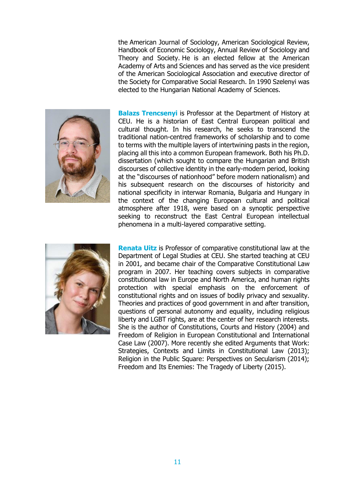the American Journal of Sociology, American Sociological Review, Handbook of Economic Sociology, Annual Review of Sociology and Theory and Society. He is an elected fellow at the American Academy of Arts and Sciences and has served as the vice president of the American Sociological Association and executive director of the Society for Comparative Social Research. In 1990 Szelenyi was elected to the Hungarian National Academy of Sciences.



**Balazs Trencsenyi** is Professor at the Department of History at CEU. He is a historian of East Central European political and cultural thought. In his research, he seeks to transcend the traditional nation-centred frameworks of scholarship and to come to terms with the multiple layers of intertwining pasts in the region, placing all this into a common European framework. Both his Ph.D. dissertation (which sought to compare the Hungarian and British discourses of collective identity in the early-modern period, looking at the "discourses of nationhood" before modern nationalism) and his subsequent research on the discourses of historicity and national specificity in interwar Romania, Bulgaria and Hungary in the context of the changing European cultural and political atmosphere after 1918, were based on a synoptic perspective seeking to reconstruct the East Central European intellectual phenomena in a multi-layered comparative setting.



**Renata Uitz** is Professor of comparative constitutional law at the Department of Legal Studies at CEU. She started teaching at CEU in 2001, and became chair of the Comparative Constitutional Law program in 2007. Her teaching covers subjects in comparative constitutional law in Europe and North America, and human rights protection with special emphasis on the enforcement of constitutional rights and on issues of bodily privacy and sexuality. Theories and practices of good government in and after transition, questions of personal autonomy and equality, including religious liberty and LGBT rights, are at the center of her research interests. She is the author of Constitutions, Courts and History (2004) and Freedom of Religion in European Constitutional and International Case Law (2007). More recently she edited Arguments that Work: Strategies, Contexts and Limits in Constitutional Law (2013); Religion in the Public Square: Perspectives on Secularism (2014); Freedom and Its Enemies: The Tragedy of Liberty (2015).